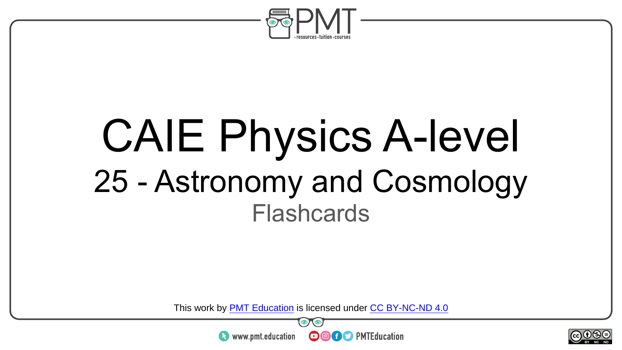

# CAIE Physics A-level 25 - Astronomy and Cosmology Flashcards

This work by <u>PMT Education</u> is licensed under CC BY-NC-ND 4.0<br>
www.pmt.education **in the CO CO** PMTEducation



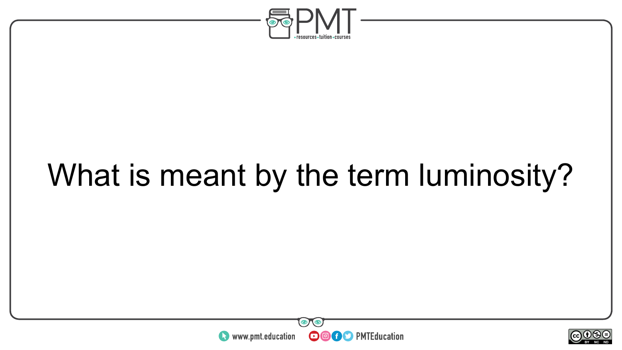

## What is meant by the term luminosity?



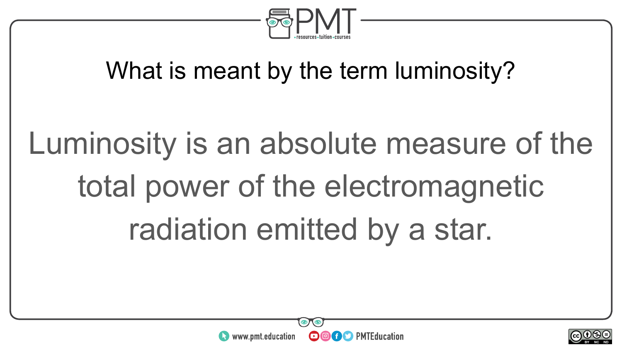

#### What is meant by the term luminosity?

# Luminosity is an absolute measure of the total power of the electromagnetic radiation emitted by a star.



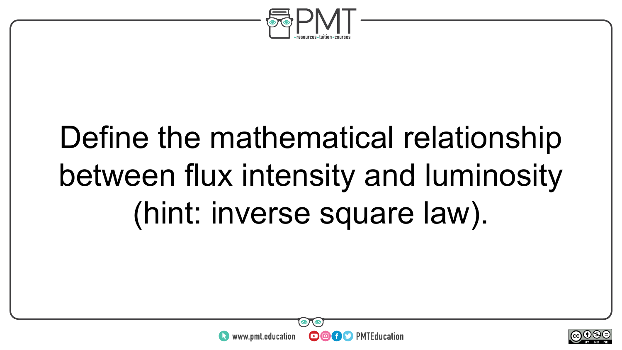

# Define the mathematical relationship between flux intensity and luminosity (hint: inverse square law).



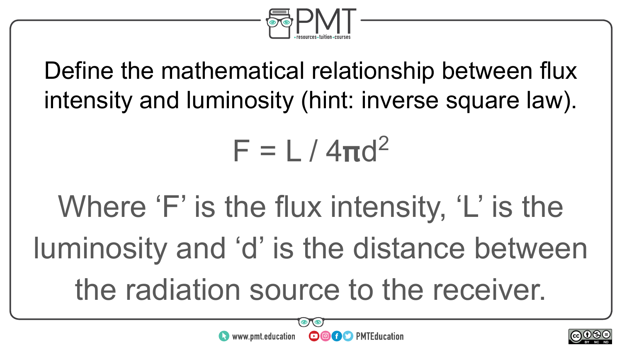

Define the mathematical relationship between flux intensity and luminosity (hint: inverse square law).

## $F = L / 4\pi d^2$

Where 'F' is the flux intensity, 'L' is the luminosity and 'd' is the distance between the radiation source to the receiver.



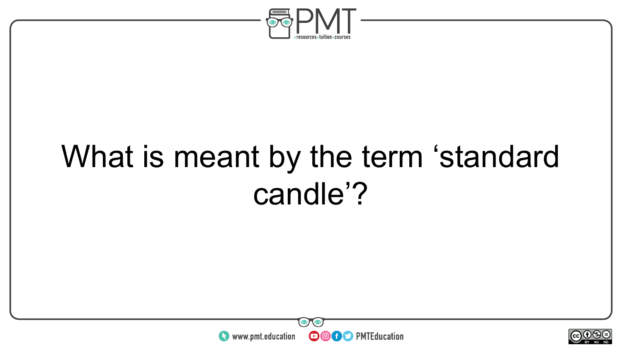

## What is meant by the term 'standard candle'?



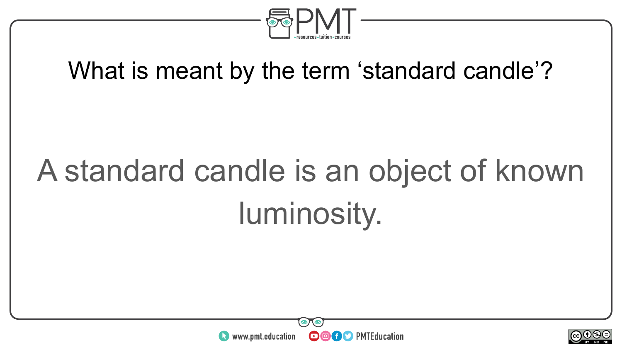

#### What is meant by the term 'standard candle'?

# A standard candle is an object of known luminosity.



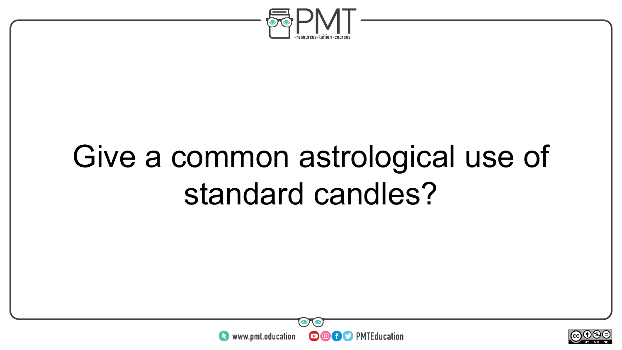

### Give a common astrological use of standard candles?



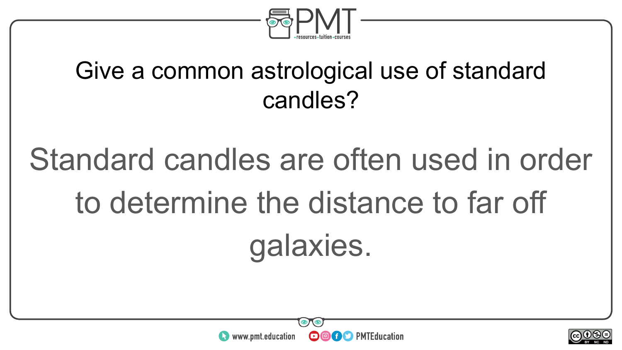

#### Give a common astrological use of standard candles?

# Standard candles are often used in order to determine the distance to far off galaxies.



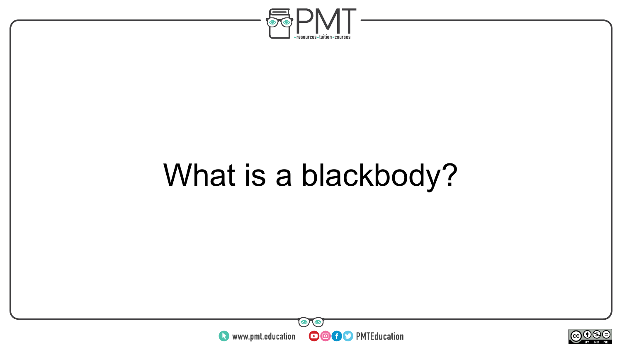

## What is a blackbody?



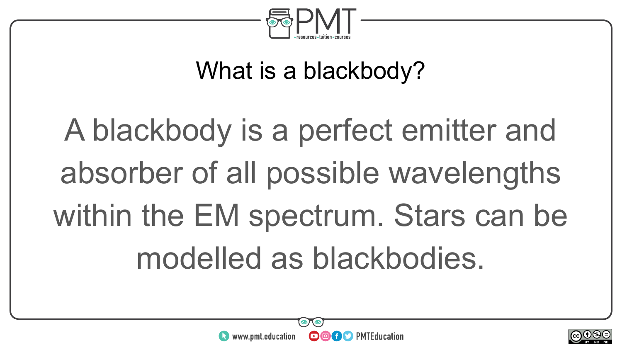

#### What is a blackbody?

# A blackbody is a perfect emitter and absorber of all possible wavelengths within the EM spectrum. Stars can be modelled as blackbodies.



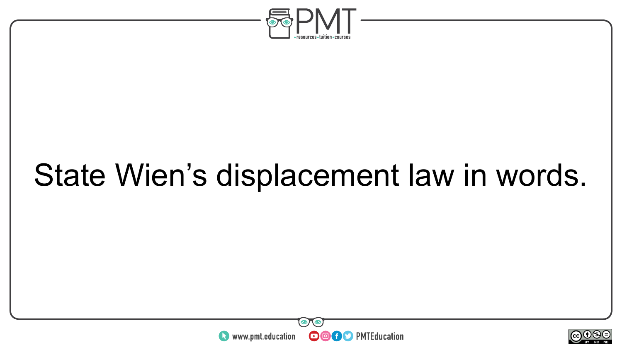

## State Wien's displacement law in words.



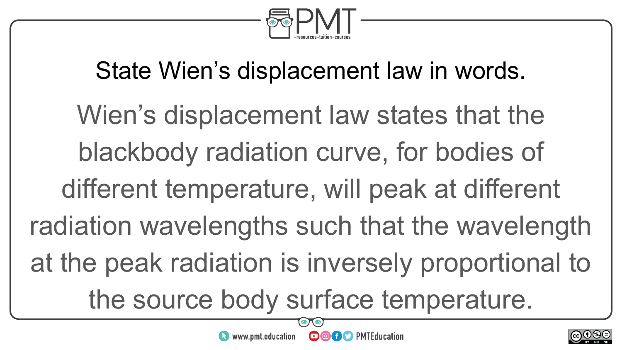

#### State Wien's displacement law in words.

Wien's displacement law states that the blackbody radiation curve, for bodies of different temperature, will peak at different radiation wavelengths such that the wavelength at the peak radiation is inversely proportional to the source body surface temperature.

**OOOO** PMTEducation



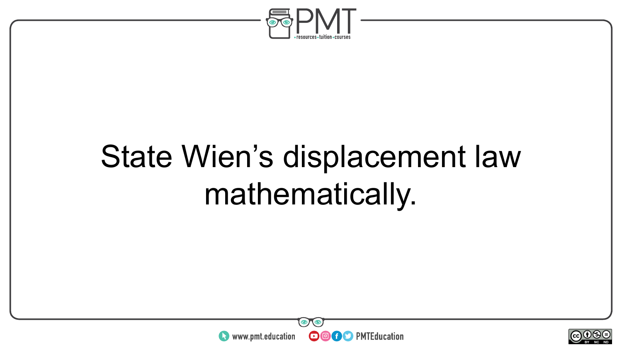

## State Wien's displacement law mathematically.



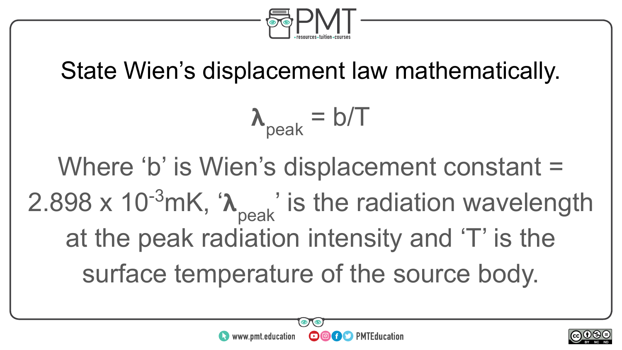

#### State Wien's displacement law mathematically.

 $\lambda_{\text{peak}} = \text{b/T}$ 

Where 'b' is Wien's displacement constant = 2.898 x 10<sup>-3</sup>mK, ' $\lambda_{peak}$ ' is the radiation wavelength at the peak radiation intensity and 'T' is the surface temperature of the source body.



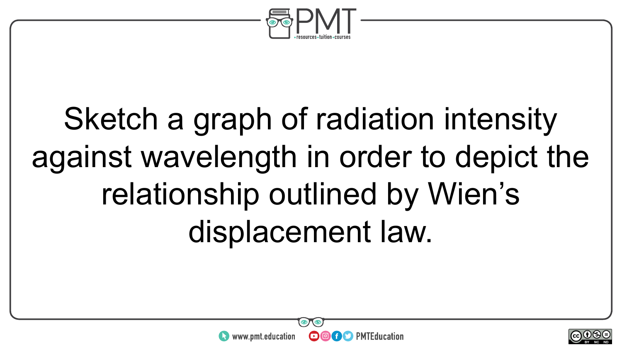

# Sketch a graph of radiation intensity against wavelength in order to depict the relationship outlined by Wien's displacement law.



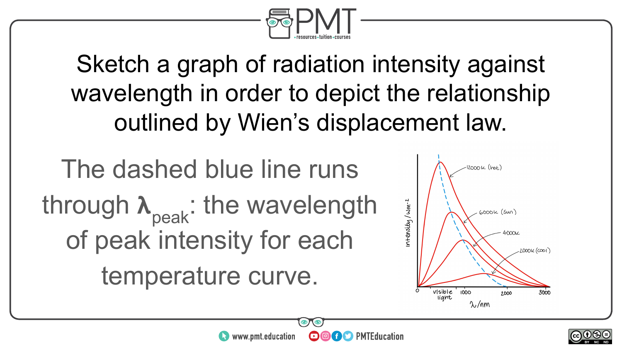

Sketch a graph of radiation intensity against wavelength in order to depict the relationship outlined by Wien's displacement law.

**OOOO** PMTEducation

The dashed blue line runs through  $\lambda_{peak}$ : the wavelength of peak intensity for each temperature curve.

www.pmt.education



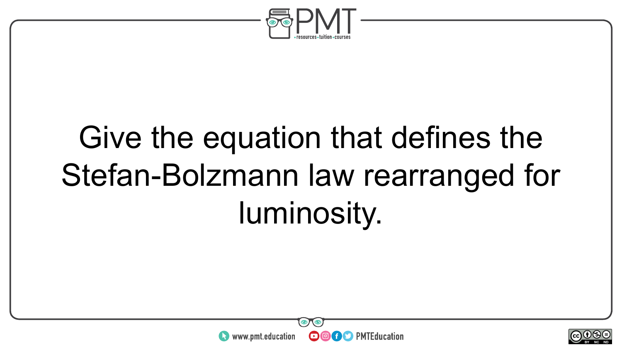

# Give the equation that defines the Stefan-Bolzmann law rearranged for luminosity.



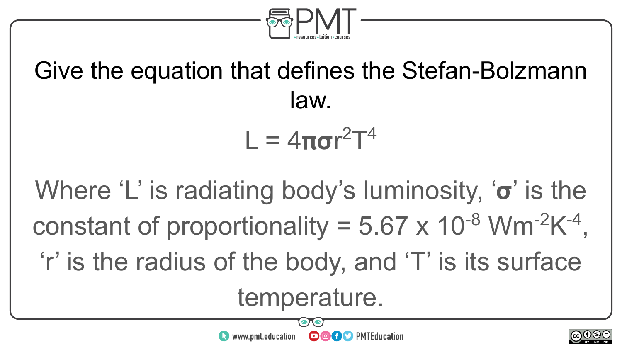

#### Give the equation that defines the Stefan-Bolzmann law.

$$
L = 4\pi\sigma r^2T^4
$$

Where 'L' is radiating body's luminosity, ' $\sigma$ ' is the constant of proportionality =  $5.67 \times 10^{-8}$  Wm<sup>-2</sup>K<sup>-4</sup>, 'r' is the radius of the body, and 'T' is its surface temperature.

**OOOO** PMTEducation

 $\bullet$  www.pmt.education

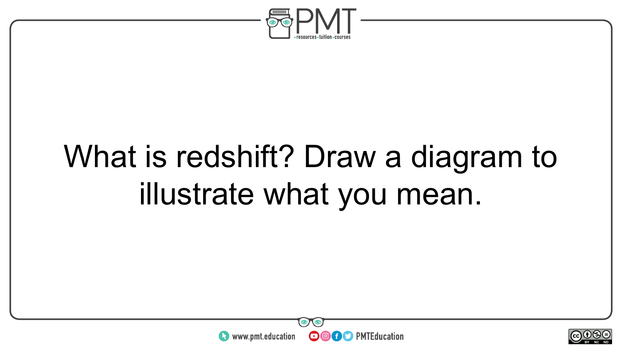

## What is redshift? Draw a diagram to illustrate what you mean.



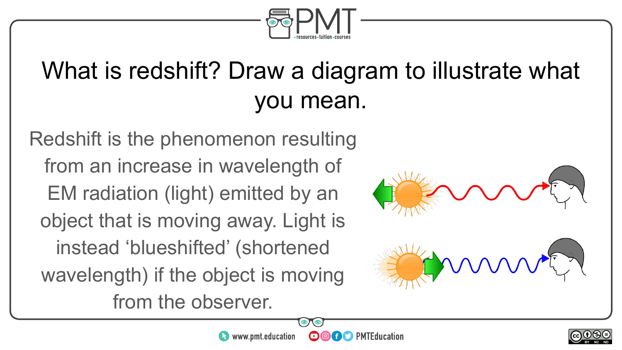

#### What is redshift? Draw a diagram to illustrate what you mean.

Redshift is the phenomenon resulting from an increase in wavelength of EM radiation (light) emitted by an object that is moving away. Light is instead 'blueshifted' (shortened wavelength) if the object is moving from the observer.

www.pmt.education

 $\boldsymbol{\Theta}$ 

**OF** PMTEducation



 $\sim$ neel BY NC ND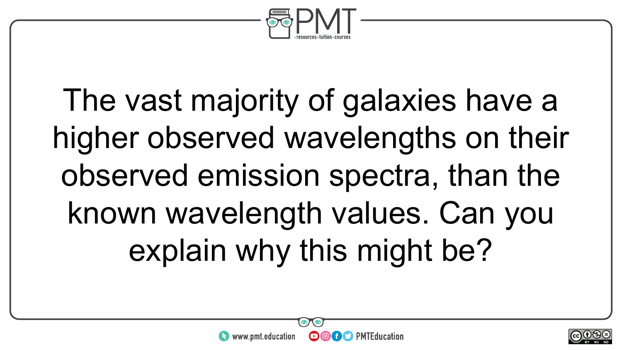

The vast majority of galaxies have a higher observed wavelengths on their observed emission spectra, than the known wavelength values. Can you explain why this might be?



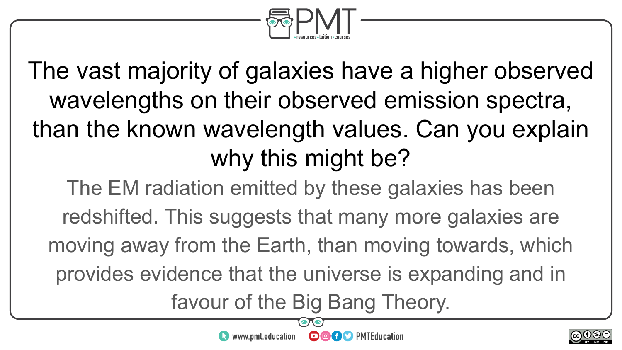

The vast majority of galaxies have a higher observed wavelengths on their observed emission spectra, than the known wavelength values. Can you explain why this might be?

The EM radiation emitted by these galaxies has been redshifted. This suggests that many more galaxies are moving away from the Earth, than moving towards, which provides evidence that the universe is expanding and in favour of the Big Bang Theory.



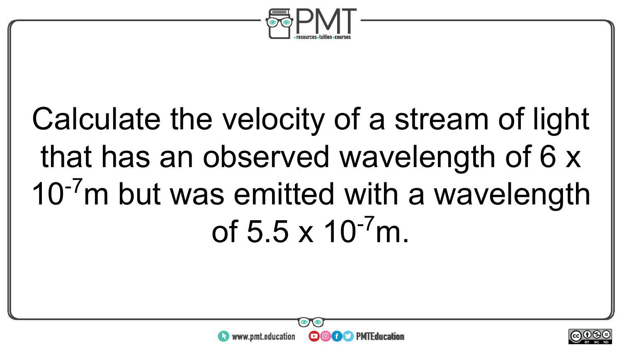

# Calculate the velocity of a stream of light that has an observed wavelength of 6 x 10<sup>-7</sup>m but was emitted with a wavelength of  $5.5 \times 10^{-7}$ m.

**OOOO** PMTEducation



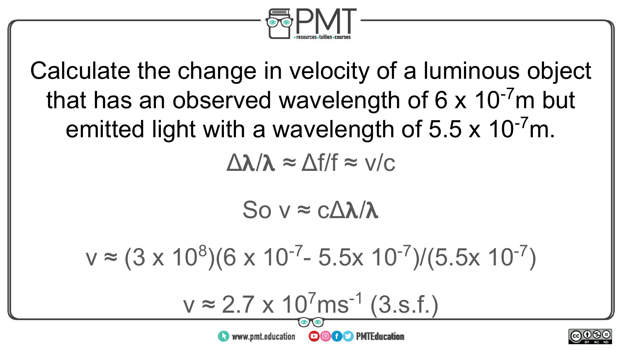

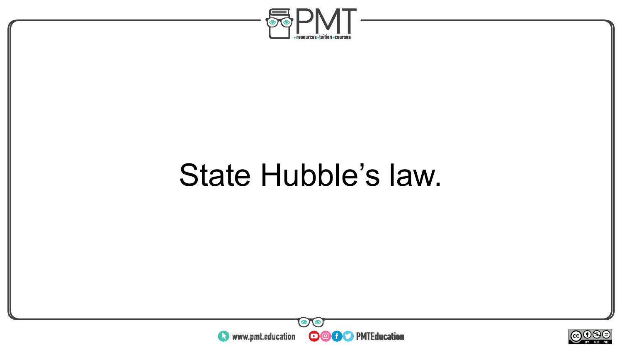

### State Hubble's law.



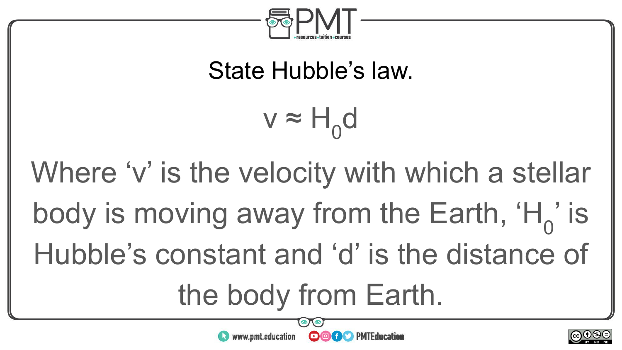

State Hubble's law.

 $v \approx H_0 d$ 

Where 'v' is the velocity with which a stellar body is moving away from the Earth, 'H<sub>0</sub>' is Hubble's constant and 'd' is the distance of the body from Earth.

**OOOO** PMTEducation

**https://www.pmt.education** 

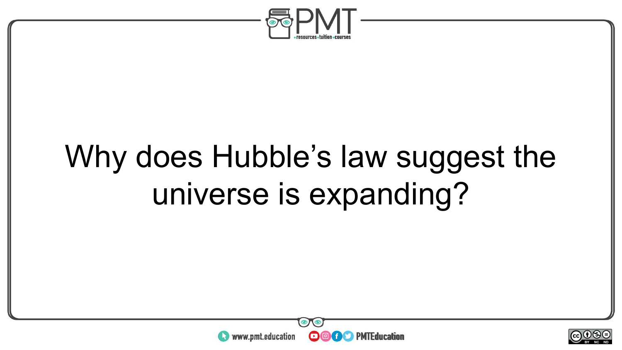

## Why does Hubble's law suggest the universe is expanding?



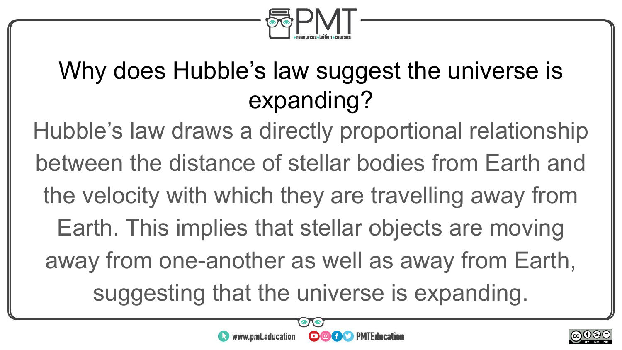

#### Why does Hubble's law suggest the universe is expanding?

Hubble's law draws a directly proportional relationship between the distance of stellar bodies from Earth and the velocity with which they are travelling away from Earth. This implies that stellar objects are moving away from one-another as well as away from Earth, suggesting that the universe is expanding.



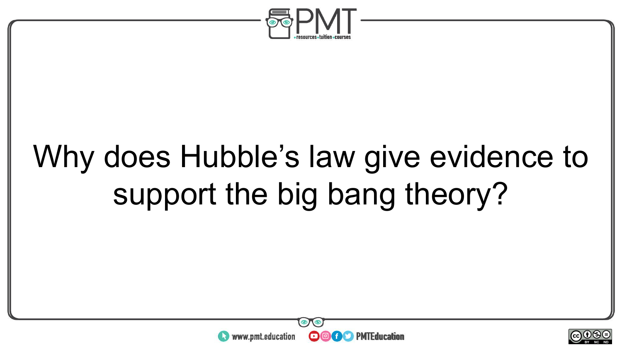

# Why does Hubble's law give evidence to support the big bang theory?